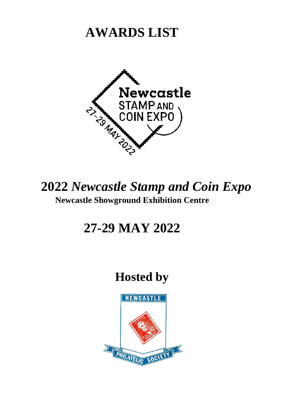## **AWARDS LIST**



### **2022** *Newcastle Stamp and Coin Expo* **Newcastle Showground Exhibition Centre**

## **27-29 MAY 2022**

## **Hosted by**

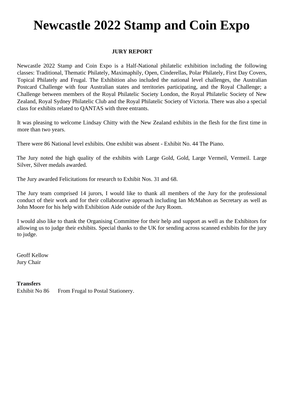# **Newcastle 2022 Stamp and Coin Expo**

#### **JURY REPORT**

Newcastle 2022 Stamp and Coin Expo is a Half-National philatelic exhibition including the following classes: Traditional, Thematic Philately, Maximaphily, Open, Cinderellas, Polar Philately, First Day Covers, Topical Philately and Frugal. The Exhibition also included the national level challenges, the Australian Postcard Challenge with four Australian states and territories participating, and the Royal Challenge; a Challenge between members of the Royal Philatelic Society London, the Royal Philatelic Society of New Zealand, Royal Sydney Philatelic Club and the Royal Philatelic Society of Victoria. There was also a special class for exhibits related to QANTAS with three entrants.

It was pleasing to welcome Lindsay Chitty with the New Zealand exhibits in the flesh for the first time in more than two years.

There were 86 National level exhibits. One exhibit was absent - Exhibit No. 44 The Piano.

The Jury noted the high quality of the exhibits with Large Gold, Gold, Large Vermeil, Vermeil. Large Silver, Silver medals awarded.

The Jury awarded Felicitations for research to Exhibit Nos. 31 and 68.

The Jury team comprised 14 jurors, I would like to thank all members of the Jury for the professional conduct of their work and for their collaborative approach including Ian McMahon as Secretary as well as John Moore for his help with Exhibition Aide outside of the Jury Room.

I would also like to thank the Organising Committee for their help and support as well as the Exhibitors for allowing us to judge their exhibits. Special thanks to the UK for sending across scanned exhibits for the jury to judge.

Geoff Kellow Jury Chair

#### **Transfers**

Exhibit No 86 From Frugal to Postal Stationery.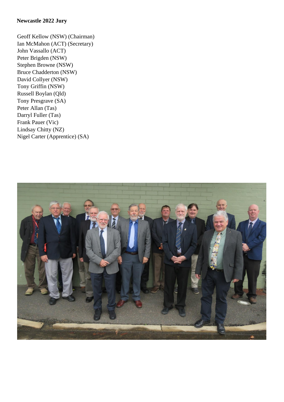#### **Newcastle 2022 Jury**

Geoff Kellow (NSW) (Chairman) Ian McMahon (ACT) (Secretary) John Vassallo (ACT) Peter Brigden (NSW) Stephen Browne (NSW) Bruce Chadderton (NSW) David Collyer (NSW) Tony Griffin (NSW) Russell Boylan (Qld) Tony Presgrave (SA) Peter Allan (Tas) Darryl Fuller (Tas) Frank Pauer (Vic) Lindsay Chitty (NZ) Nigel Carter (Apprentice) (SA)

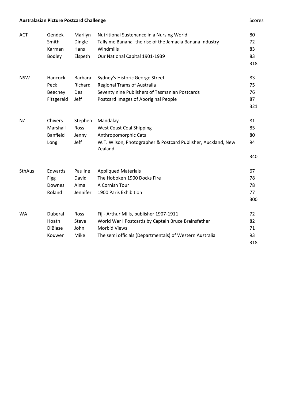#### **Australasian Picture Postcard Challenge** Scores and The Scores Scores Scores Scores

| <b>ACT</b>    | Gendek          | Marilyn        | Nutritional Sustenance in a Nursing World                                | 80  |
|---------------|-----------------|----------------|--------------------------------------------------------------------------|-----|
|               | Smith           | Dingle         | Tally me Banana'-the rise of the Jamacia Banana Industry                 | 72  |
|               | Karman          | Hans           | Windmills                                                                | 83  |
|               | <b>Bodley</b>   | Elspeth        | Our National Capital 1901-1939                                           | 83  |
|               |                 |                |                                                                          | 318 |
| <b>NSW</b>    | Hancock         | <b>Barbara</b> | Sydney's Historic George Street                                          | 83  |
|               | Peck            | Richard        | <b>Regional Trams of Australia</b>                                       | 75  |
|               | Beechey         | Des            | Seventy nine Publishers of Tasmanian Postcards                           | 76  |
|               | Fitzgerald      | Jeff           | Postcard Images of Aboriginal People                                     | 87  |
|               |                 |                |                                                                          | 321 |
| <b>NZ</b>     | Chivers         | Stephen        | Mandalay                                                                 | 81  |
|               | Marshall        | Ross           | <b>West Coast Coal Shipping</b>                                          | 85  |
|               | <b>Banfield</b> | Jenny          | Anthropomorphic Cats                                                     | 80  |
|               | Long            | Jeff           | W.T. Wilson, Photographer & Postcard Publisher, Auckland, New<br>Zealand | 94  |
|               |                 |                |                                                                          | 340 |
| <b>SthAus</b> | Edwards         | Pauline        | <b>Appliqued Materials</b>                                               | 67  |
|               | Figg            | David          | The Hoboken 1900 Docks Fire                                              | 78  |
|               | Downes          | Alma           | A Cornish Tour                                                           | 78  |
|               | Roland          | Jennifer       | 1900 Paris Exhibition                                                    | 77  |
|               |                 |                |                                                                          | 300 |
| WA            | Duberal         | Ross           | Fiji- Arthur Mills, publisher 1907-1911                                  | 72  |
|               | Hoath           | Steve          | World War I Postcards by Captain Bruce Brainsfather                      | 82  |
|               | <b>DiBiase</b>  | John           | <b>Morbid Views</b>                                                      | 71  |
|               | Kouwen          | Mike           | The semi officials (Departmentals) of Western Australia                  | 93  |
|               |                 |                |                                                                          | 318 |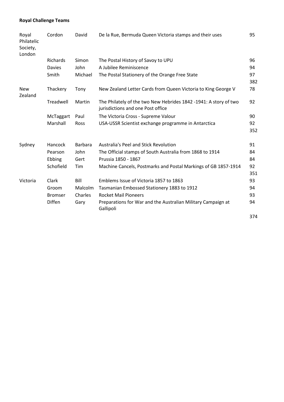#### **Royal Challenge Teams**

| Royal<br>Philatelic<br>Society,<br>London | Cordon         | David          | De la Rue, Bermuda Queen Victoria stamps and their uses                                               | 95                   |
|-------------------------------------------|----------------|----------------|-------------------------------------------------------------------------------------------------------|----------------------|
|                                           | Richards       | Simon          | The Postal History of Savoy to UPU                                                                    | 96                   |
|                                           | <b>Davies</b>  | John           | A Jubilee Reminiscence                                                                                | 94                   |
|                                           | Smith          | Michael        | The Postal Stationery of the Orange Free State                                                        | 97                   |
|                                           |                |                |                                                                                                       | 382                  |
| <b>New</b><br>Zealand                     | Thackery       | Tony           | New Zealand Letter Cards from Queen Victoria to King George V                                         | 78                   |
|                                           | Treadwell      | Martin         | The Philately of the two New Hebrides 1842 -1941: A story of two<br>jurisdictions and one Post office | 92                   |
|                                           | McTaggart      | Paul           | The Victoria Cross - Supreme Valour                                                                   | 90                   |
|                                           | Marshall       | <b>Ross</b>    | USA-USSR Scientist exchange programme in Antarctica                                                   | 92                   |
|                                           |                |                |                                                                                                       | 352                  |
| Sydney                                    | Hancock        | <b>Barbara</b> | Australia's Peel and Stick Revolution                                                                 | 91                   |
|                                           | Pearson        | John           | The Official stamps of South Australia from 1868 to 1914                                              | 84                   |
|                                           | Ebbing         | Gert           | Prussia 1850 - 1867                                                                                   | 84                   |
|                                           | Schofield      | Tim            | Machine Cancels, Postmarks and Postal Markings of GB 1857-1914                                        | 92                   |
|                                           |                |                |                                                                                                       | 351                  |
| Victoria                                  | Clark          | Bill           | Emblems Issue of Victoria 1857 to 1863                                                                | 93                   |
|                                           | Groom          | Malcolm        | Tasmanian Embossed Stationery 1883 to 1912                                                            | 94                   |
|                                           | <b>Bromser</b> | Charles        | <b>Rocket Mail Pioneers</b>                                                                           | 93                   |
|                                           | <b>Diffen</b>  | Gary           | Preparations for War and the Australian Military Campaign at<br>Gallipoli                             | 94                   |
|                                           |                |                |                                                                                                       | $\sim$ $\sim$ $\sim$ |

374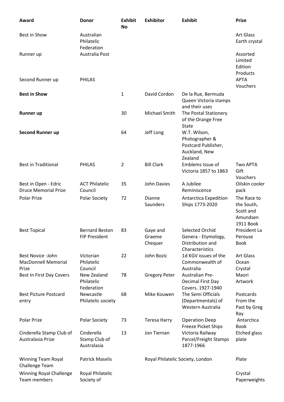| Award                                                    | <b>Donor</b>                                  | <b>Exhibit</b><br><b>No</b> | <b>Exhibitor</b>                 | <b>Exhibit</b>                                                                    | <b>Prize</b>                                                    |
|----------------------------------------------------------|-----------------------------------------------|-----------------------------|----------------------------------|-----------------------------------------------------------------------------------|-----------------------------------------------------------------|
| Best in Show                                             | Australian<br>Philatelic<br>Federation        |                             |                                  |                                                                                   | <b>Art Glass</b><br>Earth crystal                               |
| Runner up                                                | Australia Post                                |                             |                                  |                                                                                   | Assorted<br>Limited<br>Edition<br>Products                      |
| Second Runner up                                         | <b>PHILAS</b>                                 |                             |                                  |                                                                                   | <b>APTA</b><br>Vouchers                                         |
| <b>Best in Show</b>                                      |                                               | 1                           | David Cordon                     | De la Rue, Bermuda<br>Queen Victoria stamps<br>and their uses                     |                                                                 |
| <b>Runner up</b>                                         |                                               | 30                          | Michael Smith                    | The Postal Stationery<br>of the Orange Free<br><b>State</b>                       |                                                                 |
| <b>Second Runner up</b>                                  |                                               | 64                          | Jeff Long                        | W.T. Wilson,<br>Photographer &<br>Postcard Publisher,<br>Auckland, New<br>Zealand |                                                                 |
| <b>Best in Traditional</b>                               | <b>PHILAS</b>                                 | 2                           | <b>Bill Clark</b>                | Emblems Issue of<br>Victoria 1857 to 1863                                         | <b>Two APTA</b><br>Gift<br>Vouchers                             |
| Best in Open - Edric<br><b>Druce Memorial Prize</b>      | <b>ACT Philatelic</b><br>Council              | 35                          | John Davies                      | A Jubilee<br>Reminiscence                                                         | Oilskin cooler<br>pack                                          |
| Polar Prize                                              | <b>Polar Society</b>                          | 72                          | Dianne<br>Saunders               | Antarctica Expedition<br>Ships 1773-2020                                          | The Race to<br>the South,<br>Scott and<br>Amundsen<br>1911 Book |
| <b>Best Topical</b>                                      | <b>Bernard Beston</b><br><b>FIP President</b> | 83                          | Gaye and<br>Graeme<br>Chequer    | Selected Orchid<br>Genera - Etymology,<br>Distribution and<br>Characteristics     | President La<br>Perouse<br><b>Book</b>                          |
| Best Novice -John<br><b>MacDonnell Memorial</b><br>Prize | Victorian<br>Philatelic<br>Council            | 22                          | John Bozic                       | 1d KGV issues of the<br>Commonwealth of<br>Australia                              | Art Glass<br>Ocean<br>Crystal                                   |
| Best In First Day Covers                                 | New Zealand<br>Philatelic<br>Federation       | 78                          | <b>Gregory Peter</b>             | Australian Pre-<br>Decimal First Day<br>Covers. 1927-1940                         | Maori<br>Artwork                                                |
| <b>Best Picture Postcard</b><br>entry                    | Newcastle<br>Philatelic society               | 68                          | Mike Kouwen                      | The Semi Officials<br>(Departmentals) of<br>Western Australia                     | Postcards<br>From the<br>Past by Greg<br>Ray                    |
| Polar Prize                                              | Polar Society                                 | 73                          | <b>Teresa Harry</b>              | <b>Operation Deep</b><br><b>Freeze Picket Ships</b>                               | Antarctica<br><b>Book</b>                                       |
| Cinderella Stamp Club of<br>Australasia Prize            | Cinderella<br>Stamp Club of<br>Australasia    | 13                          | Jon Tiernan                      | Victoria Railway<br>Parcel/Freight Stamps<br>1877-1966                            | <b>Etched glass</b><br>plate                                    |
| <b>Winning Team Royal</b><br>Challenge Team              | <b>Patrick Maselis</b>                        |                             | Royal Philatelic Society, London |                                                                                   | Plate                                                           |
| Winning Royal Challenge<br>Team members                  | Royal Philatelic<br>Society of                |                             |                                  |                                                                                   | Crystal<br>Paperweights                                         |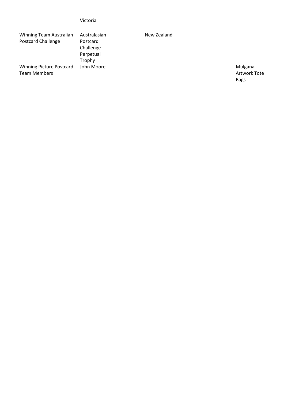| Victoria |  |  |
|----------|--|--|
|          |  |  |

| Winning Team Australian                         | Australasian | New Zealand |
|-------------------------------------------------|--------------|-------------|
| <b>Postcard Challenge</b>                       | Postcard     |             |
|                                                 | Challenge    |             |
|                                                 | Perpetual    |             |
|                                                 | Trophy       |             |
| <b>Winning Picture Postcard</b><br>Team Members | John Moore   |             |
|                                                 |              |             |

Mulganai Artwork Tote Bags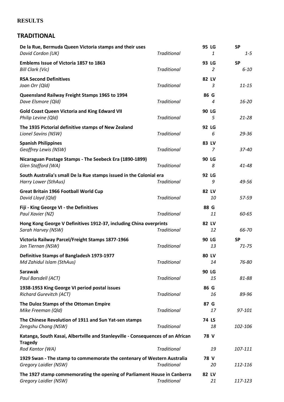#### **RESULTS**

#### **TRADITIONAL**

| De la Rue, Bermuda Queen Victoria stamps and their uses<br>David Cordon (UK)                      | <b>Traditional</b> | 95 LG<br>1         | <b>SP</b><br>$1 - 5$   |
|---------------------------------------------------------------------------------------------------|--------------------|--------------------|------------------------|
| Emblems Issue of Victoria 1857 to 1863<br><b>Bill Clark (Vic)</b>                                 | <b>Traditional</b> | 93 LG<br>2         | <b>SP</b><br>$6 - 10$  |
| <b>RSA Second Definitives</b><br>Joan Orr (Qld)                                                   | <b>Traditional</b> | 82 LV<br>3         | $11 - 15$              |
| Queensland Railway Freight Stamps 1965 to 1994<br>Dave Elsmore (Qld)                              | <b>Traditional</b> | 86 G<br>4          | 16-20                  |
| <b>Gold Coast Queen Victoria and King Edward VII</b><br>Philip Levine (Qld)                       | <b>Traditional</b> | 90 LG<br>5         | $21 - 28$              |
| The 1935 Pictorial definitive stamps of New Zealand<br>Lionel Savins (NSW)                        | <b>Traditional</b> | 92 LG<br>6         | $29 - 36$              |
| <b>Spanish Philippines</b><br>Geoffrey Lewis (NSW)                                                | <b>Traditional</b> | 83 LV<br>7         | 37-40                  |
| Nicaraguan Postage Stamps - The Seebeck Era (1890-1899)<br>Glen Stafford (WA)                     | <b>Traditional</b> | <b>90 LG</b><br>8  | 41-48                  |
| South Australia's small De la Rue stamps issued in the Colonial era<br>Harry Lower (SthAus)       | <b>Traditional</b> | 92 LG<br>9         | 49-56                  |
| Great Britain 1966 Football World Cup<br>David Lloyd (Qld)                                        | <b>Traditional</b> | 82 LV<br>10        | 57-59                  |
| Fiji - King George VI - the Definitives<br>Paul Xavier (NZ)                                       | <b>Traditional</b> | 88 G<br>11         | 60-65                  |
| Hong Kong George V Definitives 1912-37, including China overprints<br>Sarah Harvey (NSW)          | <b>Traditional</b> | 82 LV<br>12        | 66-70                  |
| Victoria Railway Parcel/Freight Stamps 1877-1966<br>Jon Tiernan (NSW)                             | <b>Traditional</b> | <b>90 LG</b><br>13 | <b>SP</b><br>$71 - 75$ |
| Definitive Stamps of Bangladesh 1973-1977<br>Md Zahidul Islam (SthAus)                            | <b>Traditional</b> | 80 LV<br>14        | 76-80                  |
| <b>Sarawak</b><br>Paul Barsdell (ACT)                                                             | <b>Traditional</b> | 90 LG<br>15        | 81-88                  |
| 1938-1953 King George VI period postal issues<br><b>Richard Gurevitch (ACT)</b>                   | <b>Traditional</b> | 86 G<br>16         | 89-96                  |
| The Duloz Stamps of the Ottoman Empire<br>Mike Freeman (Qld)                                      | <b>Traditional</b> | 87 G<br>17         | 97-101                 |
| The Chinese Revolution of 1911 and Sun Yat-sen stamps<br>Zengshu Chang (NSW)                      | <b>Traditional</b> | <b>74 LS</b><br>18 | 102-106                |
| Katanga, South Kasai, Albertville and Stanleyville - Consequences of an African<br><b>Tragedy</b> |                    | 78 V               |                        |
| Rod Kantor (WA)                                                                                   | <b>Traditional</b> | 19                 | 107-111                |
| 1929 Swan - The stamp to commemorate the centenary of Western Australia<br>Gregory Laidler (NSW)  | <b>Traditional</b> | 78 V<br>20         | 112-116                |
| The 1927 stamp commemorating the opening of Parliament House in Canberra<br>Gregory Laidler (NSW) | <b>Traditional</b> | 82 LV<br>21        | 117-123                |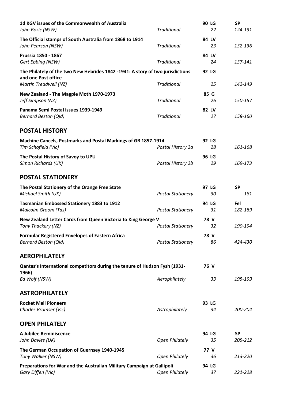| 1d KGV issues of the Commonwealth of Australia<br>John Bozic (NSW)                                    | <b>Traditional</b>                       | 90 LG<br>22        | <b>SP</b><br>124-131 |
|-------------------------------------------------------------------------------------------------------|------------------------------------------|--------------------|----------------------|
| The Official stamps of South Australia from 1868 to 1914<br>John Pearson (NSW)                        | <b>Traditional</b>                       | 84 LV<br>23        | 132-136              |
| Prussia 1850 - 1867<br>Gert Ebbing (NSW)                                                              | <b>Traditional</b>                       | 84 LV<br>24        | 137-141              |
| The Philately of the two New Hebrides 1842 -1941: A story of two jurisdictions<br>and one Post office |                                          | 92 LG              |                      |
| Martin Treadwell (NZ)<br>New Zealand - The Magpie Moth 1970-1973<br>Jeff Simpson (NZ)                 | <b>Traditional</b><br><b>Traditional</b> | 25<br>85 G<br>26   | 142-149<br>150-157   |
| Panama Semi Postal issues 1939-1949<br><b>Bernard Beston (Qld)</b>                                    | <b>Traditional</b>                       | 82 LV<br>27        | 158-160              |
| <b>POSTAL HISTORY</b>                                                                                 |                                          |                    |                      |
| Machine Cancels, Postmarks and Postal Markings of GB 1857-1914<br>Tim Schofield (Vic)                 | Postal History 2a                        | 92 LG<br>28        | 161-168              |
| The Postal History of Savoy to UPU<br>Simon Richards (UK)                                             | Postal History 2b                        | <b>96 LG</b><br>29 | 169-173              |
| <b>POSTAL STATIONERY</b>                                                                              |                                          |                    |                      |
| The Postal Stationery of the Orange Free State<br>Michael Smith (UK)                                  | <b>Postal Stationery</b>                 | 97 LG<br>30        | <b>SP</b><br>181     |
| <b>Tasmanian Embossed Stationery 1883 to 1912</b><br><b>Malcolm Groom (Tas)</b>                       | <b>Postal Stationery</b>                 | 94 LG<br>31        | Fel<br>182-189       |
| New Zealand Letter Cards from Queen Victoria to King George V<br>Tony Thackery (NZ)                   | <b>Postal Stationery</b>                 | 78 V<br>32         | 190-194              |
| <b>Formular Registered Envelopes of Eastern Africa</b><br><b>Bernard Beston (Qld)</b>                 | <b>Postal Stationery</b>                 | 78 V<br>86         | 424-430              |
| <b>AEROPHILATELY</b>                                                                                  |                                          |                    |                      |
| Qantas's International competitors during the tenure of Hudson Fysh (1931-                            |                                          | 76 V               |                      |
| 1966)<br>Ed Wolf (NSW)                                                                                | Aerophilately                            | 33                 | 195-199              |
| <b>ASTROPHILATELY</b>                                                                                 |                                          |                    |                      |
| <b>Rocket Mail Pioneers</b><br>Charles Bromser (Vic)                                                  | Astrophilately                           | 93 LG<br>34        | 200-204              |
| <b>OPEN PHILATELY</b>                                                                                 |                                          |                    |                      |
| A Jubilee Reminiscence<br>John Davies (UK)                                                            | <b>Open Philately</b>                    | 94 LG<br>35        | <b>SP</b><br>205-212 |
| The German Occupation of Guernsey 1940-1945<br>Tony Walker (NSW)                                      | <b>Open Philately</b>                    | 77 V<br>36         | 213-220              |
| Preparations for War and the Australian Military Campaign at Gallipoli<br>Gary Diffen (Vic)           | <b>Open Philately</b>                    | 94 LG<br>37        | 221-228              |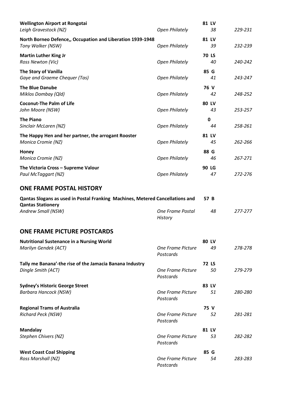| <b>Wellington Airport at Rongotai</b><br>Leigh Gravestock (NZ)                                            | <b>Open Philately</b>                 | 81 LV<br>38        | 229-231 |
|-----------------------------------------------------------------------------------------------------------|---------------------------------------|--------------------|---------|
| North Borneo Defence,, Occupation and Liberation 1939-1948<br>Tony Walker (NSW)                           | <b>Open Philately</b>                 | 81 LV<br>39        | 232-239 |
| <b>Martin Luther King Jr</b><br>Ross Newton (Vic)                                                         | <b>Open Philately</b>                 | <b>70 LS</b><br>40 | 240-242 |
| <b>The Story of Vanilla</b><br>Gaye and Graeme Chequer (Tas)                                              | <b>Open Philately</b>                 | 85 G<br>41         | 243-247 |
| <b>The Blue Danube</b><br>Miklos Dombay (Qld)                                                             | <b>Open Philately</b>                 | 76 V<br>42         | 248-252 |
| <b>Coconut-The Palm of Life</b><br>John Moore (NSW)                                                       | <b>Open Philately</b>                 | 80 LV<br>43        | 253-257 |
| <b>The Piano</b><br>Sinclair McLaren (NZ)                                                                 | <b>Open Philately</b>                 | $\mathbf 0$<br>44  | 258-261 |
| The Happy Hen and her partner, the arrogant Rooster<br>Monica Cromie (NZ)                                 | <b>Open Philately</b>                 | 81 LV<br>45        | 262-266 |
| Honey<br>Monica Cromie (NZ)                                                                               | <b>Open Philately</b>                 | 88 G<br>46         | 267-271 |
| The Victoria Cross - Supreme Valour<br>Paul McTaggart (NZ)                                                | <b>Open Philately</b>                 | 90 LG<br>47        | 272-276 |
| <b>ONE FRAME POSTAL HISTORY</b>                                                                           |                                       |                    |         |
|                                                                                                           |                                       |                    |         |
| Qantas Slogans as used in Postal Franking Machines, Metered Cancellations and<br><b>Qantas Stationery</b> |                                       | 57 B               |         |
| Andrew Small (NSW)                                                                                        | One Frame Postal<br><b>History</b>    | 48                 | 277-277 |
| <b>ONE FRAME PICTURE POSTCARDS</b>                                                                        |                                       |                    |         |
| <b>Nutritional Sustenance in a Nursing World</b><br>Marilyn Gendek (ACT)                                  | One Frame Picture<br>Postcards        | 80 LV<br>49        | 278-278 |
| Tally me Banana'-the rise of the Jamacia Banana Industry<br>Dingle Smith (ACT)                            | <b>One Frame Picture</b><br>Postcards | <b>72 LS</b><br>50 | 279-279 |
| <b>Sydney's Historic George Street</b><br><b>Barbara Hancock (NSW)</b>                                    | One Frame Picture<br>Postcards        | 83 LV<br>51        | 280-280 |
| <b>Regional Trams of Australia</b><br><b>Richard Peck (NSW)</b>                                           | One Frame Picture<br>Postcards        | 75 V<br>52         | 281-281 |
| <b>Mandalay</b><br>Stephen Chivers (NZ)                                                                   | One Frame Picture<br>Postcards        | 81 LV<br>53        | 282-282 |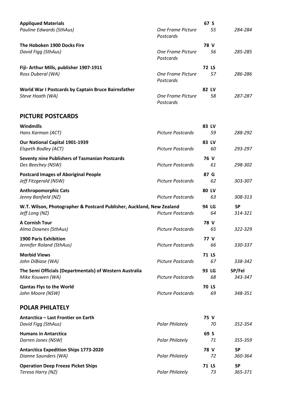| <b>Appliqued Materials</b>                          |                                | 67 S         |         |
|-----------------------------------------------------|--------------------------------|--------------|---------|
| Pauline Edwards (SthAus)                            | One Frame Picture<br>Postcards | 55           | 284-284 |
| The Hoboken 1900 Docks Fire                         |                                | 78 V         |         |
| David Figg (SthAus)                                 | One Frame Picture<br>Postcards | 56           | 285-285 |
| Fiji- Arthur Mills, publisher 1907-1911             |                                | <b>72 LS</b> |         |
| Ross Duberal (WA)                                   | One Frame Picture<br>Postcards | 57           | 286-286 |
| World War I Postcards by Captain Bruce Bairnsfather |                                | 82 LV        |         |
| Steve Hoath (WA)                                    | One Frame Picture<br>Postcards | 58           | 287-287 |

#### **PICTURE POSTCARDS**

| Windmills<br>Hans Karman (ACT)                                                          | <b>Picture Postcards</b> | 83 LV<br>59        | 288-292              |
|-----------------------------------------------------------------------------------------|--------------------------|--------------------|----------------------|
| Our National Capital 1901-1939<br>Elspeth Bodley (ACT)                                  | <b>Picture Postcards</b> | 83 LV<br>60        | 293-297              |
| <b>Seventy nine Publishers of Tasmanian Postcards</b><br>Des Beechey (NSW)              | <b>Picture Postcards</b> | 76 V<br>61         | 298-302              |
| <b>Postcard Images of Aboriginal People</b><br>Jeff Fitzgerald (NSW)                    | <b>Picture Postcards</b> | 87 G<br>62         | 303-307              |
| <b>Anthropomorphic Cats</b><br>Jenny Banfield (NZ)                                      | <b>Picture Postcards</b> | 80 LV<br>63        | 308-313              |
| W.T. Wilson, Photographer & Postcard Publisher, Auckland, New Zealand<br>Jeff Long (NZ) | <b>Picture Postcards</b> | 94 LG<br>64        | <b>SP</b><br>314-321 |
| <b>A Cornish Tour</b><br>Alma Downes (SthAus)                                           | <b>Picture Postcards</b> | 78 V<br>65         | 322-329              |
| <b>1900 Paris Exhibition</b><br>Jennifer Roland (SthAus)                                | <b>Picture Postcards</b> | 77 V<br>66         | 330-337              |
| <b>Morbid Views</b><br>John DiBiase (WA)                                                | <b>Picture Postcards</b> | 71 LS<br>67        | 338-342              |
| The Semi Officials (Departmentals) of Western Australia<br>Mike Kouwen (WA)             | <b>Picture Postcards</b> | 93 LG<br>68        | SP/Fel<br>343-347    |
| <b>Qantas Flys to the World</b><br>John Moore (NSW)                                     | <b>Picture Postcards</b> | <b>70 LS</b><br>69 | 348-351              |
| <b>POLAR PHILATELY</b>                                                                  |                          |                    |                      |
| Antarctica - Last Frontier on Earth<br>David Figg (SthAus)                              | <b>Polar Philately</b>   | 75 V<br>70         | 352-354              |
| <b>Humans in Antarctica</b><br>Darren Jones (NSW)                                       | <b>Polar Philately</b>   | 69 S<br>71         | 355-359              |
| <b>Antarctica Expedition Ships 1773-2020</b><br>Dianne Saunders (WA)                    | <b>Polar Philately</b>   | 78 V<br>72         | <b>SP</b><br>360-364 |
| <b>Operation Deep Freeze Picket Ships</b><br>Teresa Harry (NZ)                          | <b>Polar Philately</b>   | 71 LS<br>73        | <b>SP</b><br>365-371 |